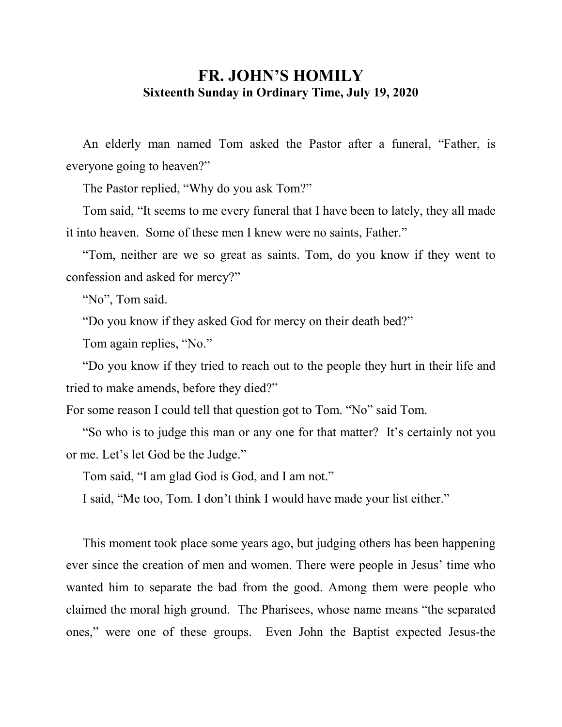## **FR. JOHN'S HOMILY Sixteenth Sunday in Ordinary Time, July 19, 2020**

 An elderly man named Tom asked the Pastor after a funeral, "Father, is everyone going to heaven?"

The Pastor replied, "Why do you ask Tom?"

 Tom said, "It seems to me every funeral that I have been to lately, they all made it into heaven. Some of these men I knew were no saints, Father."

 "Tom, neither are we so great as saints. Tom, do you know if they went to confession and asked for mercy?"

"No", Tom said.

"Do you know if they asked God for mercy on their death bed?"

Tom again replies, "No."

 "Do you know if they tried to reach out to the people they hurt in their life and tried to make amends, before they died?"

For some reason I could tell that question got to Tom. "No" said Tom.

 "So who is to judge this man or any one for that matter? It's certainly not you or me. Let's let God be the Judge."

Tom said, "I am glad God is God, and I am not."

I said, "Me too, Tom. I don't think I would have made your list either."

 This moment took place some years ago, but judging others has been happening ever since the creation of men and women. There were people in Jesus' time who wanted him to separate the bad from the good. Among them were people who claimed the moral high ground. The Pharisees, whose name means "the separated ones," were one of these groups. Even John the Baptist expected Jesus-the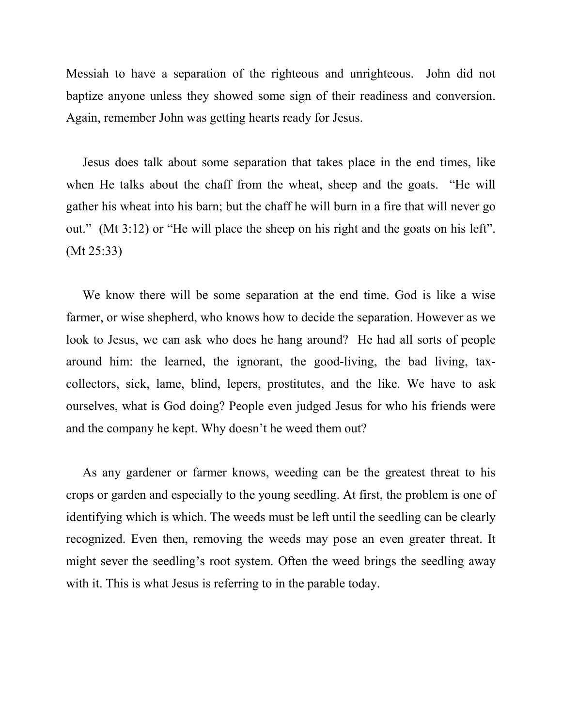Messiah to have a separation of the righteous and unrighteous. John did not baptize anyone unless they showed some sign of their readiness and conversion. Again, remember John was getting hearts ready for Jesus.

 Jesus does talk about some separation that takes place in the end times, like when He talks about the chaff from the wheat, sheep and the goats. "He will gather his wheat into his barn; but the chaff he will burn in a fire that will never go out." (Mt 3:12) or "He will place the sheep on his right and the goats on his left". (Mt 25:33)

 We know there will be some separation at the end time. God is like a wise farmer, or wise shepherd, who knows how to decide the separation. However as we look to Jesus, we can ask who does he hang around? He had all sorts of people around him: the learned, the ignorant, the good-living, the bad living, taxcollectors, sick, lame, blind, lepers, prostitutes, and the like. We have to ask ourselves, what is God doing? People even judged Jesus for who his friends were and the company he kept. Why doesn't he weed them out?

 As any gardener or farmer knows, weeding can be the greatest threat to his crops or garden and especially to the young seedling. At first, the problem is one of identifying which is which. The weeds must be left until the seedling can be clearly recognized. Even then, removing the weeds may pose an even greater threat. It might sever the seedling's root system. Often the weed brings the seedling away with it. This is what Jesus is referring to in the parable today.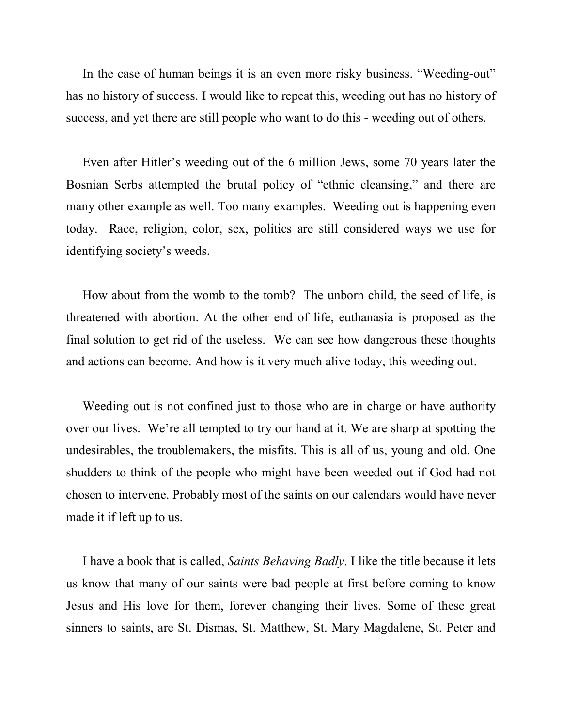In the case of human beings it is an even more risky business. "Weeding-out" has no history of success. I would like to repeat this, weeding out has no history of success, and yet there are still people who want to do this - weeding out of others.

 Even after Hitler's weeding out of the 6 million Jews, some 70 years later the Bosnian Serbs attempted the brutal policy of "ethnic cleansing," and there are many other example as well. Too many examples. Weeding out is happening even today. Race, religion, color, sex, politics are still considered ways we use for identifying society's weeds.

 How about from the womb to the tomb? The unborn child, the seed of life, is threatened with abortion. At the other end of life, euthanasia is proposed as the final solution to get rid of the useless. We can see how dangerous these thoughts and actions can become. And how is it very much alive today, this weeding out.

 Weeding out is not confined just to those who are in charge or have authority over our lives. We're all tempted to try our hand at it. We are sharp at spotting the undesirables, the troublemakers, the misfits. This is all of us, young and old. One shudders to think of the people who might have been weeded out if God had not chosen to intervene. Probably most of the saints on our calendars would have never made it if left up to us.

 I have a book that is called, *Saints Behaving Badly*. I like the title because it lets us know that many of our saints were bad people at first before coming to know Jesus and His love for them, forever changing their lives. Some of these great sinners to saints, are St. Dismas, St. Matthew, St. Mary Magdalene, St. Peter and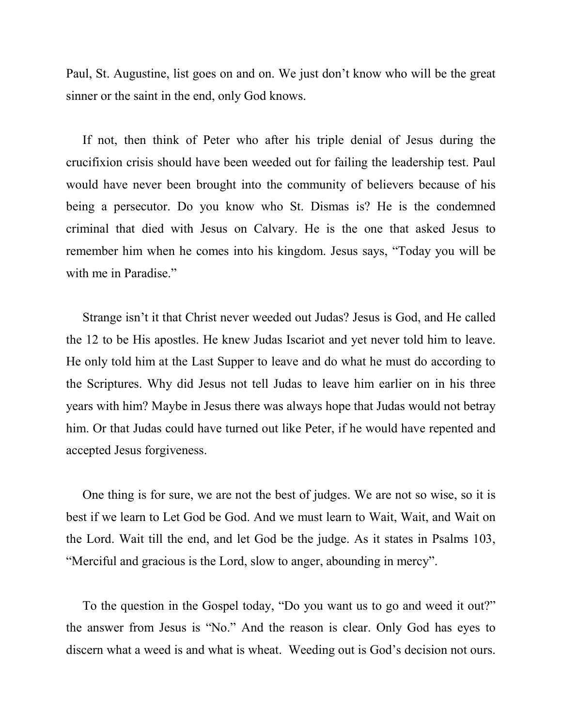Paul, St. Augustine, list goes on and on. We just don't know who will be the great sinner or the saint in the end, only God knows.

 If not, then think of Peter who after his triple denial of Jesus during the crucifixion crisis should have been weeded out for failing the leadership test. Paul would have never been brought into the community of believers because of his being a persecutor. Do you know who St. Dismas is? He is the condemned criminal that died with Jesus on Calvary. He is the one that asked Jesus to remember him when he comes into his kingdom. Jesus says, "Today you will be with me in Paradise."

 Strange isn't it that Christ never weeded out Judas? Jesus is God, and He called the 12 to be His apostles. He knew Judas Iscariot and yet never told him to leave. He only told him at the Last Supper to leave and do what he must do according to the Scriptures. Why did Jesus not tell Judas to leave him earlier on in his three years with him? Maybe in Jesus there was always hope that Judas would not betray him. Or that Judas could have turned out like Peter, if he would have repented and accepted Jesus forgiveness.

 One thing is for sure, we are not the best of judges. We are not so wise, so it is best if we learn to Let God be God. And we must learn to Wait, Wait, and Wait on the Lord. Wait till the end, and let God be the judge. As it states in Psalms 103, "Merciful and gracious is the Lord, slow to anger, abounding in mercy".

 To the question in the Gospel today, "Do you want us to go and weed it out?" the answer from Jesus is "No." And the reason is clear. Only God has eyes to discern what a weed is and what is wheat. Weeding out is God's decision not ours.